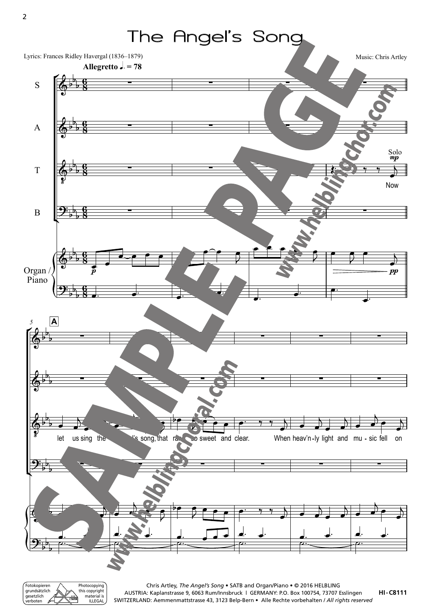

Fotokopieren grundsätzlich gesetzlich verboten Photocopying this copyright material is ILLEGAL

Chris Artley, *The Angel's Song* • SATB and Organ/Piano • © 2016 HELBLING AUSTRIA: Kaplanstrasse 9, 6063 Rum/Innsbruck | GERMANY: P.O. Box 100754, 73707 Esslingen SWITZERLAND: Aemmenmattstrasse 43, 3123 Belp-Bern • Alle Rechte vorbehalten / *All rights reserved*

**HI-C8111**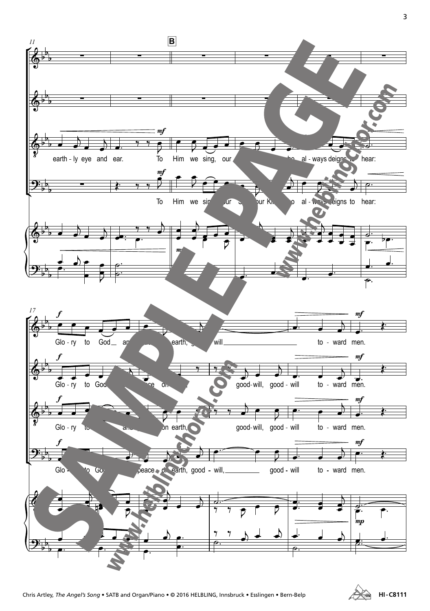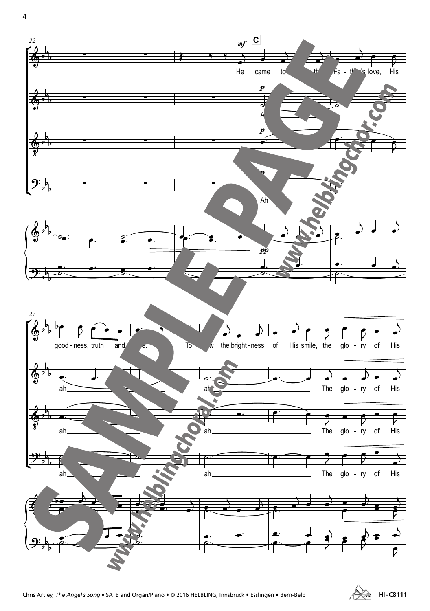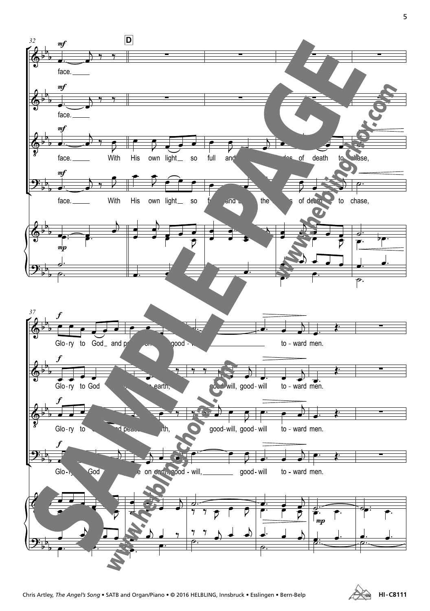

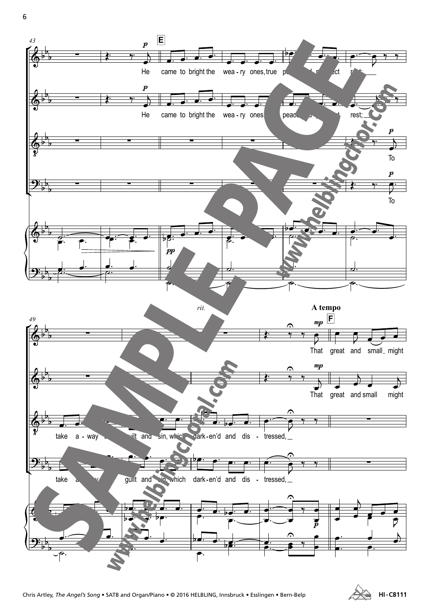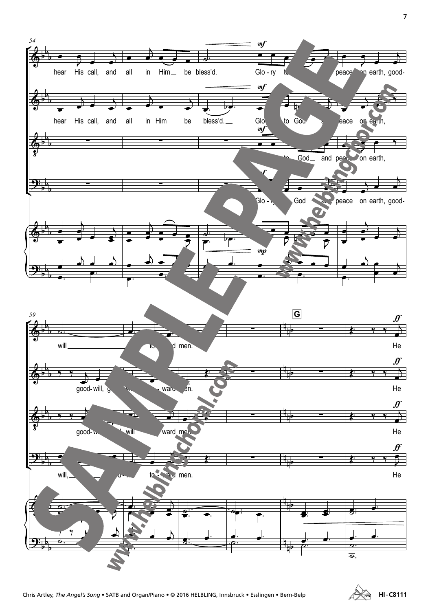

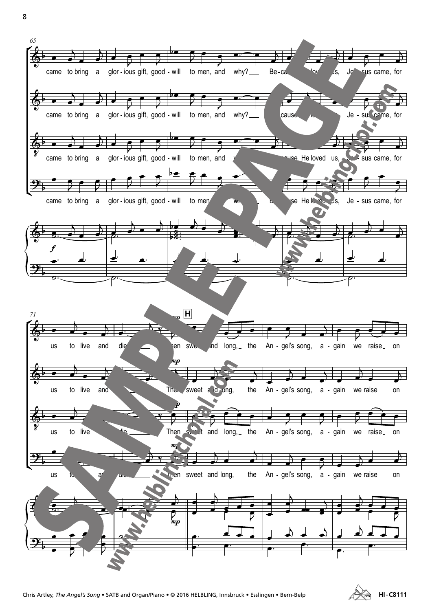